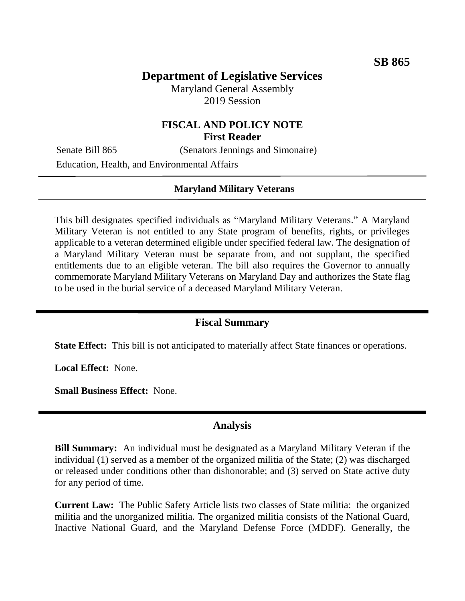# **Department of Legislative Services**

Maryland General Assembly 2019 Session

# **FISCAL AND POLICY NOTE First Reader**

Senate Bill 865 (Senators Jennings and Simonaire) Education, Health, and Environmental Affairs

### **Maryland Military Veterans**

This bill designates specified individuals as "Maryland Military Veterans." A Maryland Military Veteran is not entitled to any State program of benefits, rights, or privileges applicable to a veteran determined eligible under specified federal law. The designation of a Maryland Military Veteran must be separate from, and not supplant, the specified entitlements due to an eligible veteran. The bill also requires the Governor to annually commemorate Maryland Military Veterans on Maryland Day and authorizes the State flag to be used in the burial service of a deceased Maryland Military Veteran.

### **Fiscal Summary**

**State Effect:** This bill is not anticipated to materially affect State finances or operations.

**Local Effect:** None.

**Small Business Effect:** None.

### **Analysis**

**Bill Summary:** An individual must be designated as a Maryland Military Veteran if the individual (1) served as a member of the organized militia of the State; (2) was discharged or released under conditions other than dishonorable; and (3) served on State active duty for any period of time.

**Current Law:** The Public Safety Article lists two classes of State militia: the organized militia and the unorganized militia. The organized militia consists of the National Guard, Inactive National Guard, and the Maryland Defense Force (MDDF). Generally, the